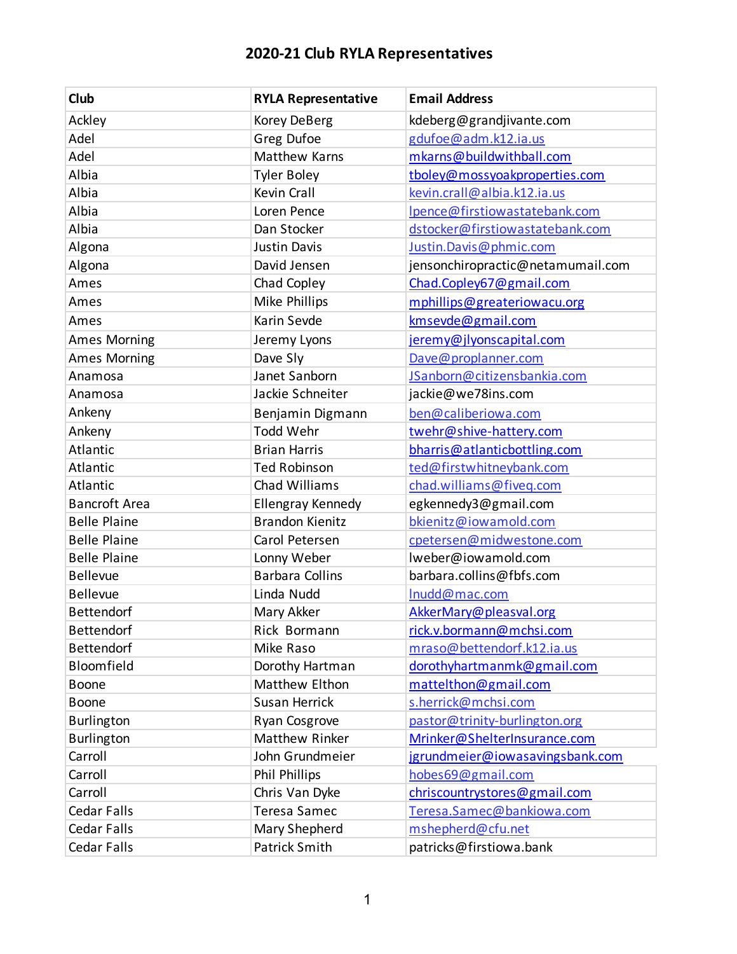| Club                 | <b>RYLA Representative</b> | <b>Email Address</b>              |
|----------------------|----------------------------|-----------------------------------|
| Ackley               | Korey DeBerg               | kdeberg@grandjivante.com          |
| Adel                 | Greg Dufoe                 | gdufoe@adm.k12.ia.us              |
| Adel                 | <b>Matthew Karns</b>       | mkarns@buildwithball.com          |
| Albia                | <b>Tyler Boley</b>         | tboley@mossyoakproperties.com     |
| Albia                | <b>Kevin Crall</b>         | kevin.crall@albia.k12.ia.us       |
| Albia                | Loren Pence                | Ipence@firstiowastatebank.com     |
| Albia                | Dan Stocker                | dstocker@firstiowastatebank.com   |
| Algona               | <b>Justin Davis</b>        | Justin.Davis@phmic.com            |
| Algona               | David Jensen               | jensonchiropractic@netamumail.com |
| Ames                 | Chad Copley                | Chad.Copley67@gmail.com           |
| Ames                 | Mike Phillips              | mphillips@greateriowacu.org       |
| Ames                 | Karin Sevde                | kmsevde@gmail.com                 |
| <b>Ames Morning</b>  | Jeremy Lyons               | jeremy@jlyonscapital.com          |
| <b>Ames Morning</b>  | Dave Sly                   | Dave@proplanner.com               |
| Anamosa              | Janet Sanborn              | JSanborn@citizensbankia.com       |
| Anamosa              | Jackie Schneiter           | jackie@we78ins.com                |
| Ankeny               | Benjamin Digmann           | ben@caliberiowa.com               |
| Ankeny               | Todd Wehr                  | twehr@shive-hattery.com           |
| Atlantic             | <b>Brian Harris</b>        | bharris@atlanticbottling.com      |
| Atlantic             | <b>Ted Robinson</b>        | ted@firstwhitneybank.com          |
| Atlantic             | Chad Williams              | chad.williams@fiveq.com           |
| <b>Bancroft Area</b> | Ellengray Kennedy          | egkennedy3@gmail.com              |
| <b>Belle Plaine</b>  | <b>Brandon Kienitz</b>     | bkienitz@iowamold.com             |
| <b>Belle Plaine</b>  | Carol Petersen             | cpetersen@midwestone.com          |
| <b>Belle Plaine</b>  | Lonny Weber                | Iweber@iowamold.com               |
| <b>Bellevue</b>      | <b>Barbara Collins</b>     | barbara.collins@fbfs.com          |
| Bellevue             | Linda Nudd                 | Inudd@mac.com                     |
| Bettendorf           | Mary Akker                 | AkkerMary@pleasval.org            |
| Bettendorf           | Rick Bormann               | rick.v.bormann@mchsi.com          |
| <b>Bettendorf</b>    | Mike Raso                  | mraso@bettendorf.k12.ia.us        |
| Bloomfield           | Dorothy Hartman            | dorothyhartmanmk@gmail.com        |
| Boone                | Matthew Elthon             | mattelthon@gmail.com              |
| <b>Boone</b>         | <b>Susan Herrick</b>       | s.herrick@mchsi.com               |
| Burlington           | Ryan Cosgrove              | pastor@trinity-burlington.org     |
| <b>Burlington</b>    | Matthew Rinker             | Mrinker@ShelterInsurance.com      |
| Carroll              | John Grundmeier            | jgrundmeier@iowasavingsbank.com   |
| Carroll              | <b>Phil Phillips</b>       | hobes69@gmail.com                 |
| Carroll              | Chris Van Dyke             | chriscountrystores@gmail.com      |
| <b>Cedar Falls</b>   | <b>Teresa Samec</b>        | Teresa.Samec@bankiowa.com         |
| Cedar Falls          | Mary Shepherd              | mshepherd@cfu.net                 |
| Cedar Falls          | Patrick Smith              | patricks@firstiowa.bank           |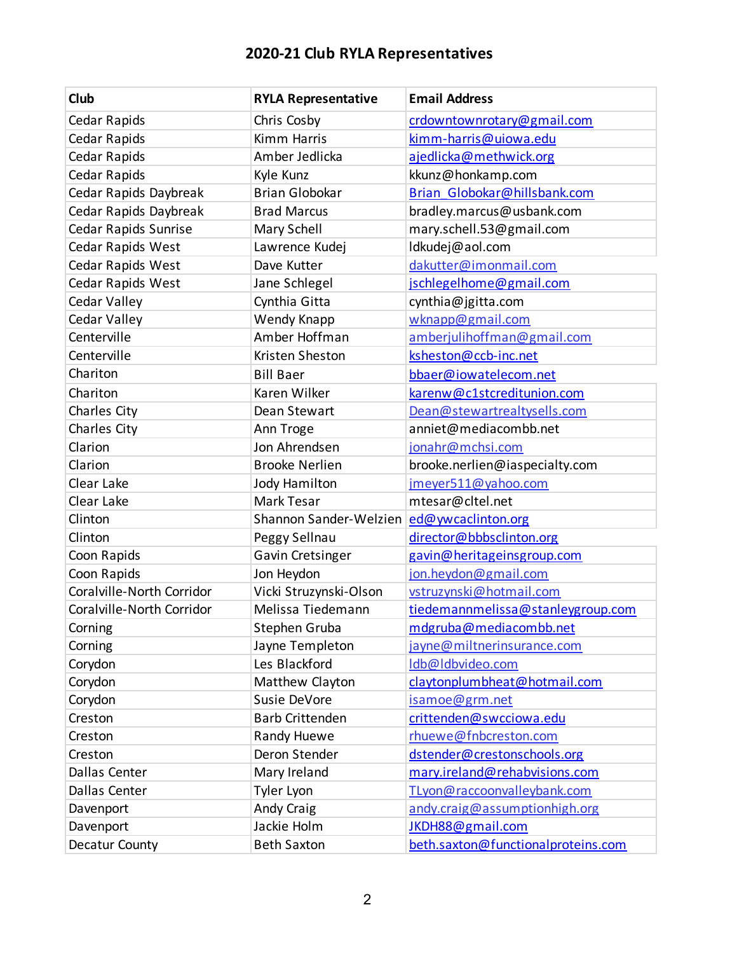| Club                      | <b>RYLA Representative</b> | <b>Email Address</b>               |
|---------------------------|----------------------------|------------------------------------|
| Cedar Rapids              | Chris Cosby                | crdowntownrotary@gmail.com         |
| Cedar Rapids              | <b>Kimm Harris</b>         | kimm-harris@uiowa.edu              |
| Cedar Rapids              | Amber Jedlicka             | ajedlicka@methwick.org             |
| Cedar Rapids              | Kyle Kunz                  | kkunz@honkamp.com                  |
| Cedar Rapids Daybreak     | <b>Brian Globokar</b>      | Brian Globokar@hillsbank.com       |
| Cedar Rapids Daybreak     | <b>Brad Marcus</b>         | bradley.marcus@usbank.com          |
| Cedar Rapids Sunrise      | Mary Schell                | mary.schell.53@gmail.com           |
| Cedar Rapids West         | Lawrence Kudej             | ldkudej@aol.com                    |
| Cedar Rapids West         | Dave Kutter                | dakutter@imonmail.com              |
| Cedar Rapids West         | Jane Schlegel              | jschlegelhome@gmail.com            |
| Cedar Valley              | Cynthia Gitta              | cynthia@jgitta.com                 |
| Cedar Valley              | Wendy Knapp                | wknapp@gmail.com                   |
| Centerville               | Amber Hoffman              | amberjulihoffman@gmail.com         |
| Centerville               | Kristen Sheston            | ksheston@ccb-inc.net               |
| Chariton                  | <b>Bill Baer</b>           | bbaer@iowatelecom.net              |
| Chariton                  | Karen Wilker               | karenw@c1stcreditunion.com         |
| Charles City              | Dean Stewart               | Dean@stewartrealtysells.com        |
| Charles City              | Ann Troge                  | anniet@mediacombb.net              |
| Clarion                   | Jon Ahrendsen              | jonahr@mchsi.com                   |
| Clarion                   | <b>Brooke Nerlien</b>      | brooke.nerlien@iaspecialty.com     |
| Clear Lake                | <b>Jody Hamilton</b>       | jmeyer511@yahoo.com                |
| Clear Lake                | Mark Tesar                 | mtesar@cltel.net                   |
| Clinton                   | Shannon Sander-Welzien     | ed@ywcaclinton.org                 |
| Clinton                   | Peggy Sellnau              | director@bbbsclinton.org           |
| Coon Rapids               | Gavin Cretsinger           | gavin@heritageinsgroup.com         |
| Coon Rapids               | Jon Heydon                 | jon.heydon@gmail.com               |
| Coralville-North Corridor | Vicki Struzynski-Olson     | vstruzynski@hotmail.com            |
| Coralville-North Corridor | Melissa Tiedemann          | tiedemannmelissa@stanleygroup.com  |
| Corning                   | Stephen Gruba              | mdgruba@mediacombb.net             |
| Corning                   | Jayne Templeton            | jayne@miltnerinsurance.com         |
| Corydon                   | Les Blackford              | Idb@Idbvideo.com                   |
| Corydon                   | Matthew Clayton            | claytonplumbheat@hotmail.com       |
| Corydon                   | Susie DeVore               | isamoe@grm.net                     |
| Creston                   | <b>Barb Crittenden</b>     | crittenden@swcciowa.edu            |
| Creston                   | Randy Huewe                | rhuewe@fnbcreston.com              |
| Creston                   | Deron Stender              | dstender@crestonschools.org        |
| Dallas Center             | Mary Ireland               | mary.ireland@rehabvisions.com      |
| Dallas Center             | Tyler Lyon                 | TLyon@raccoonvalleybank.com        |
| Davenport                 | Andy Craig                 | andy.craig@assumptionhigh.org      |
| Davenport                 | Jackie Holm                | JKDH88@gmail.com                   |
| Decatur County            | <b>Beth Saxton</b>         | beth.saxton@functionalproteins.com |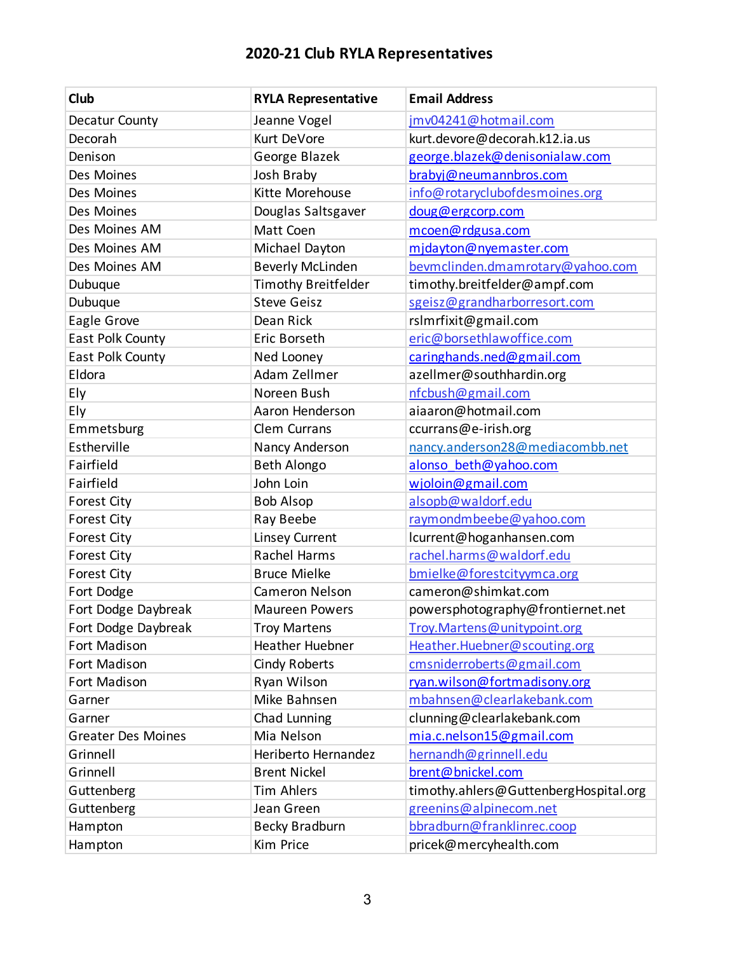| Club                      | <b>RYLA Representative</b> | <b>Email Address</b>                  |
|---------------------------|----------------------------|---------------------------------------|
| Decatur County            | Jeanne Vogel               | jmv04241@hotmail.com                  |
| Decorah                   | Kurt DeVore                | kurt.devore@decorah.k12.ia.us         |
| Denison                   | George Blazek              | george.blazek@denisonialaw.com        |
| Des Moines                | Josh Braby                 | brabyj@neumannbros.com                |
| Des Moines                | Kitte Morehouse            | info@rotaryclubofdesmoines.org        |
| Des Moines                | Douglas Saltsgaver         | doug@ergcorp.com                      |
| Des Moines AM             | Matt Coen                  | mcoen@rdgusa.com                      |
| Des Moines AM             | Michael Dayton             | midayton@nyemaster.com                |
| Des Moines AM             | <b>Beverly McLinden</b>    | bevmclinden.dmamrotary@yahoo.com      |
| Dubuque                   | <b>Timothy Breitfelder</b> | timothy.breitfelder@ampf.com          |
| Dubuque                   | <b>Steve Geisz</b>         | sgeisz@grandharborresort.com          |
| Eagle Grove               | Dean Rick                  | rsImrfixit@gmail.com                  |
| East Polk County          | Eric Borseth               | eric@borsethlawoffice.com             |
| East Polk County          | Ned Looney                 | caringhands.ned@gmail.com             |
| Eldora                    | Adam Zellmer               | azellmer@southhardin.org              |
| Ely                       | Noreen Bush                | nfcbush@gmail.com                     |
| Ely                       | Aaron Henderson            | aiaaron@hotmail.com                   |
| Emmetsburg                | Clem Currans               | ccurrans@e-irish.org                  |
| Estherville               | Nancy Anderson             | nancy.anderson28@mediacombb.net       |
| Fairfield                 | <b>Beth Alongo</b>         | alonso beth@yahoo.com                 |
| Fairfield                 | John Loin                  | wjoloin@gmail.com                     |
| <b>Forest City</b>        | <b>Bob Alsop</b>           | alsopb@waldorf.edu                    |
| <b>Forest City</b>        | Ray Beebe                  | raymondmbeebe@yahoo.com               |
| <b>Forest City</b>        | <b>Linsey Current</b>      | lcurrent@hoganhansen.com              |
| <b>Forest City</b>        | Rachel Harms               | rachel.harms@waldorf.edu              |
| <b>Forest City</b>        | <b>Bruce Mielke</b>        | bmielke@forestcityymca.org            |
| Fort Dodge                | Cameron Nelson             | cameron@shimkat.com                   |
| Fort Dodge Daybreak       | <b>Maureen Powers</b>      | powersphotography@frontiernet.net     |
| Fort Dodge Daybreak       | <b>Troy Martens</b>        | Troy. Martens@unitypoint.org          |
| Fort Madison              | <b>Heather Huebner</b>     | Heather.Huebner@scouting.org          |
| Fort Madison              | <b>Cindy Roberts</b>       | cmsniderroberts@gmail.com             |
| Fort Madison              | Ryan Wilson                | ryan.wilson@fortmadisony.org          |
| Garner                    | Mike Bahnsen               | mbahnsen@clearlakebank.com            |
| Garner                    | Chad Lunning               | clunning@clearlakebank.com            |
| <b>Greater Des Moines</b> | Mia Nelson                 | mia.c.nelson15@gmail.com              |
| Grinnell                  | Heriberto Hernandez        | hernandh@grinnell.edu                 |
| Grinnell                  | <b>Brent Nickel</b>        | brent@bnickel.com                     |
| Guttenberg                | <b>Tim Ahlers</b>          | timothy.ahlers@GuttenbergHospital.org |
| Guttenberg                | Jean Green                 | greenins@alpinecom.net                |
| Hampton                   | <b>Becky Bradburn</b>      | bbradburn@franklinrec.coop            |
| Hampton                   | Kim Price                  | pricek@mercyhealth.com                |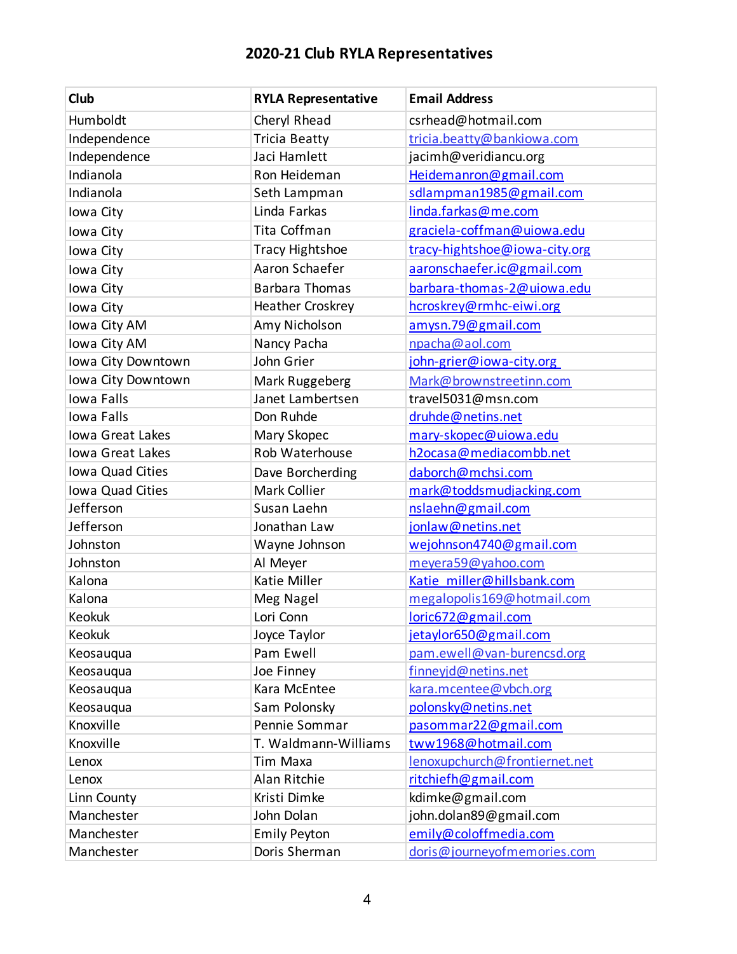| Club               | <b>RYLA Representative</b> | <b>Email Address</b>          |
|--------------------|----------------------------|-------------------------------|
| Humboldt           | Cheryl Rhead               | csrhead@hotmail.com           |
| Independence       | <b>Tricia Beatty</b>       | tricia.beatty@bankiowa.com    |
| Independence       | Jaci Hamlett               | jacimh@veridiancu.org         |
| Indianola          | Ron Heideman               | Heidemanron@gmail.com         |
| Indianola          | Seth Lampman               | sdlampman1985@gmail.com       |
| Iowa City          | Linda Farkas               | linda.farkas@me.com           |
| Iowa City          | Tita Coffman               | graciela-coffman@uiowa.edu    |
| Iowa City          | <b>Tracy Hightshoe</b>     | tracy-hightshoe@iowa-city.org |
| Iowa City          | Aaron Schaefer             | aaronschaefer.ic@gmail.com    |
| Iowa City          | <b>Barbara Thomas</b>      | barbara-thomas-2@uiowa.edu    |
| Iowa City          | Heather Croskrey           | hcroskrey@rmhc-eiwi.org       |
| Iowa City AM       | Amy Nicholson              | amysn.79@gmail.com            |
| Iowa City AM       | Nancy Pacha                | npacha@aol.com                |
| Iowa City Downtown | John Grier                 | john-grier@iowa-city.org      |
| Iowa City Downtown | Mark Ruggeberg             | Mark@brownstreetinn.com       |
| Iowa Falls         | Janet Lambertsen           | travel5031@msn.com            |
| Iowa Falls         | Don Ruhde                  | druhde@netins.net             |
| Iowa Great Lakes   | Mary Skopec                | mary-skopec@uiowa.edu         |
| Iowa Great Lakes   | Rob Waterhouse             | h2ocasa@mediacombb.net        |
| Iowa Quad Cities   | Dave Borcherding           | daborch@mchsi.com             |
| Iowa Quad Cities   | Mark Collier               | mark@toddsmudjacking.com      |
| Jefferson          | Susan Laehn                | nslaehn@gmail.com             |
| Jefferson          | Jonathan Law               | jonlaw@netins.net             |
| Johnston           | Wayne Johnson              | wejohnson4740@gmail.com       |
| Johnston           | Al Meyer                   | meyera59@yahoo.com            |
| Kalona             | Katie Miller               | Katie miller@hillsbank.com    |
| Kalona             | Meg Nagel                  | megalopolis169@hotmail.com    |
| Keokuk             | Lori Conn                  | loric672@gmail.com            |
| Keokuk             | Joyce Taylor               | jetaylor650@gmail.com         |
| Keosauqua          | Pam Ewell                  | pam.ewell@van-burencsd.org    |
| Keosauqua          | Joe Finney                 | finneyjd@netins.net           |
| Keosauqua          | Kara McEntee               | kara.mcentee@vbch.org         |
| Keosaugua          | Sam Polonsky               | polonsky@netins.net           |
| Knoxville          | Pennie Sommar              | pasommar22@gmail.com          |
| Knoxville          | T. Waldmann-Williams       | tww1968@hotmail.com           |
| Lenox              | Tim Maxa                   | lenoxupchurch@frontiernet.net |
| Lenox              | Alan Ritchie               | ritchiefh@gmail.com           |
| Linn County        | Kristi Dimke               | kdimke@gmail.com              |
| Manchester         | John Dolan                 | john.dolan89@gmail.com        |
| Manchester         | <b>Emily Peyton</b>        | emily@coloffmedia.com         |
| Manchester         | Doris Sherman              | doris@journeyofmemories.com   |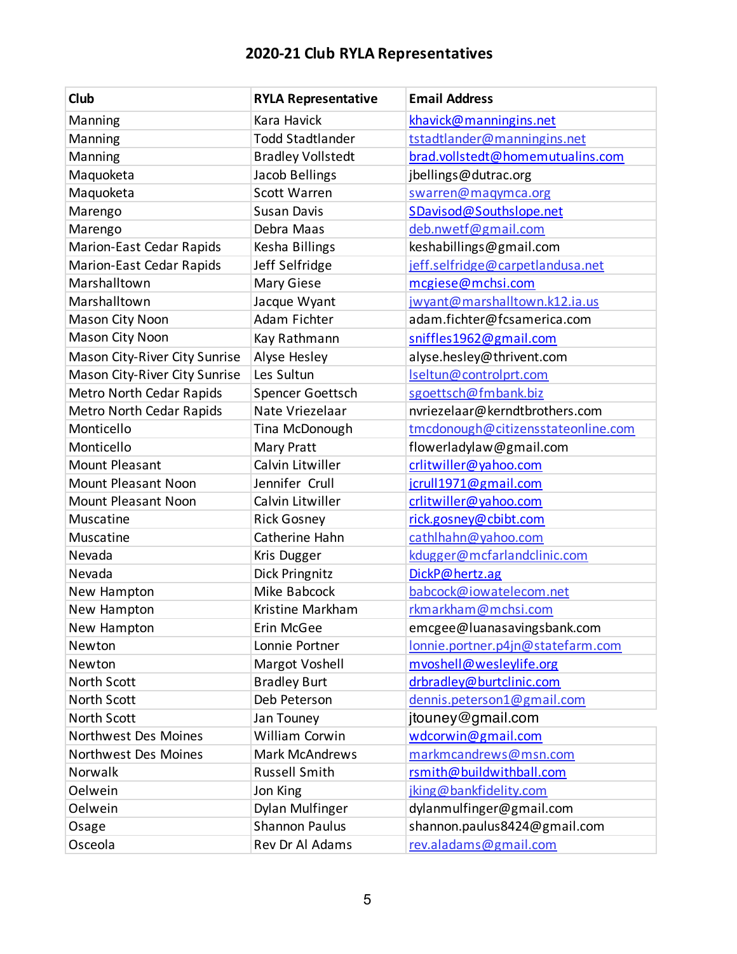| Club                          | <b>RYLA Representative</b> | <b>Email Address</b>               |
|-------------------------------|----------------------------|------------------------------------|
| Manning                       | <b>Kara Havick</b>         | khavick@manningins.net             |
| Manning                       | <b>Todd Stadtlander</b>    | tstadtlander@manningins.net        |
| Manning                       | <b>Bradley Vollstedt</b>   | brad.vollstedt@homemutualins.com   |
| Maquoketa                     | Jacob Bellings             | jbellings@dutrac.org               |
| Maquoketa                     | <b>Scott Warren</b>        | swarren@maqymca.org                |
| Marengo                       | <b>Susan Davis</b>         | SDavisod@Southslope.net            |
| Marengo                       | Debra Maas                 | deb.nwetf@gmail.com                |
| Marion-East Cedar Rapids      | Kesha Billings             | keshabillings@gmail.com            |
| Marion-East Cedar Rapids      | Jeff Selfridge             | jeff.selfridge@carpetlandusa.net   |
| Marshalltown                  | Mary Giese                 | mcgiese@mchsi.com                  |
| Marshalltown                  | Jacque Wyant               | jwyant@marshalltown.k12.ia.us      |
| Mason City Noon               | Adam Fichter               | adam.fichter@fcsamerica.com        |
| Mason City Noon               | Kay Rathmann               | sniffles1962@gmail.com             |
| Mason City-River City Sunrise | Alyse Hesley               | alyse.hesley@thrivent.com          |
| Mason City-River City Sunrise | Les Sultun                 | Iseltun@controlprt.com             |
| Metro North Cedar Rapids      | Spencer Goettsch           | sgoettsch@fmbank.biz               |
| Metro North Cedar Rapids      | Nate Vriezelaar            | nvriezelaar@kerndtbrothers.com     |
| Monticello                    | Tina McDonough             | tmcdonough@citizensstateonline.com |
| Monticello                    | Mary Pratt                 | flowerladylaw@gmail.com            |
| Mount Pleasant                | Calvin Litwiller           | crlitwiller@yahoo.com              |
| <b>Mount Pleasant Noon</b>    | Jennifer Crull             | jcrull1971@gmail.com               |
| <b>Mount Pleasant Noon</b>    | Calvin Litwiller           | crlitwiller@yahoo.com              |
| Muscatine                     | <b>Rick Gosney</b>         | rick.gosney@cbibt.com              |
| Muscatine                     | Catherine Hahn             | cathlhahn@yahoo.com                |
| Nevada                        | Kris Dugger                | kdugger@mcfarlandclinic.com        |
| Nevada                        | Dick Pringnitz             | DickP@hertz.ag                     |
| New Hampton                   | Mike Babcock               | babcock@iowatelecom.net            |
| New Hampton                   | Kristine Markham           | rkmarkham@mchsi.com                |
| New Hampton                   | Erin McGee                 | emcgee@luanasavingsbank.com        |
| Newton                        | Lonnie Portner             | lonnie.portner.p4jn@statefarm.com  |
| Newton                        | Margot Voshell             | mvoshell@wesleylife.org            |
| North Scott                   | <b>Bradley Burt</b>        | drbradley@burtclinic.com           |
| North Scott                   | Deb Peterson               | dennis.peterson1@gmail.com         |
| <b>North Scott</b>            | Jan Touney                 | jtouney@gmail.com                  |
| Northwest Des Moines          | William Corwin             | wdcorwin@gmail.com                 |
| Northwest Des Moines          | <b>Mark McAndrews</b>      | markmcandrews@msn.com              |
| Norwalk                       | <b>Russell Smith</b>       | rsmith@buildwithball.com           |
| Oelwein                       | Jon King                   | jking@bankfidelity.com             |
| Oelwein                       | Dylan Mulfinger            | dylanmulfinger@gmail.com           |
| Osage                         | <b>Shannon Paulus</b>      | shannon.paulus8424@gmail.com       |
| Osceola                       | Rev Dr Al Adams            | rev.aladams@gmail.com              |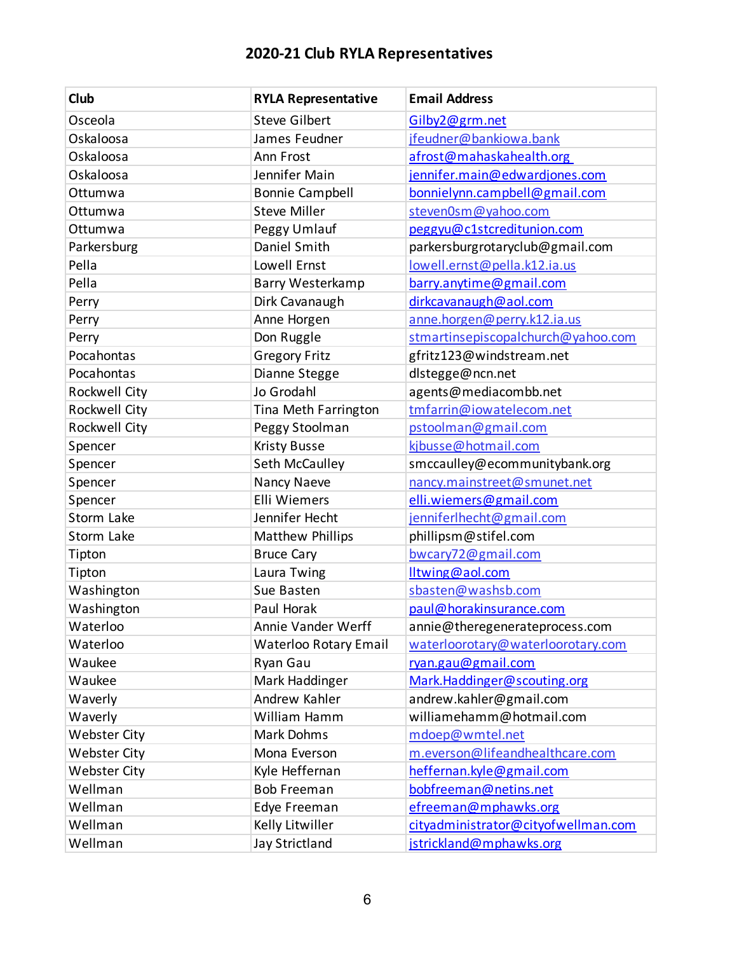| Club                | <b>RYLA Representative</b>   | <b>Email Address</b>                |
|---------------------|------------------------------|-------------------------------------|
| Osceola             | <b>Steve Gilbert</b>         | Gilby <sub>2@grm.net</sub>          |
| Oskaloosa           | James Feudner                | jfeudner@bankiowa.bank              |
| Oskaloosa           | Ann Frost                    | afrost@mahaskahealth.org            |
| Oskaloosa           | Jennifer Main                | jennifer.main@edwardjones.com       |
| Ottumwa             | <b>Bonnie Campbell</b>       | bonnielynn.campbell@gmail.com       |
| Ottumwa             | <b>Steve Miller</b>          | steven0sm@yahoo.com                 |
| Ottumwa             | Peggy Umlauf                 | peggyu@c1stcreditunion.com          |
| Parkersburg         | Daniel Smith                 | parkersburgrotaryclub@gmail.com     |
| Pella               | Lowell Ernst                 | lowell.ernst@pella.k12.ia.us        |
| Pella               | Barry Westerkamp             | barry.anytime@gmail.com             |
| Perry               | Dirk Cavanaugh               | dirkcavanaugh@aol.com               |
| Perry               | Anne Horgen                  | anne.horgen@perry.k12.ia.us         |
| Perry               | Don Ruggle                   | stmartinsepiscopalchurch@yahoo.com  |
| Pocahontas          | <b>Gregory Fritz</b>         | gfritz123@windstream.net            |
| Pocahontas          | Dianne Stegge                | dlstegge@ncn.net                    |
| Rockwell City       | Jo Grodahl                   | agents@mediacombb.net               |
| Rockwell City       | Tina Meth Farrington         | tmfarrin@iowatelecom.net            |
| Rockwell City       | Peggy Stoolman               | pstoolman@gmail.com                 |
| Spencer             | <b>Kristy Busse</b>          | kjbusse@hotmail.com                 |
| Spencer             | Seth McCaulley               | smccaulley@ecommunitybank.org       |
| Spencer             | Nancy Naeve                  | nancy.mainstreet@smunet.net         |
| Spencer             | Elli Wiemers                 | elli.wiemers@gmail.com              |
| Storm Lake          | Jennifer Hecht               | jenniferlhecht@gmail.com            |
| Storm Lake          | Matthew Phillips             | phillipsm@stifel.com                |
| Tipton              | <b>Bruce Cary</b>            | bwcary72@gmail.com                  |
| Tipton              | Laura Twing                  | lltwing@aol.com                     |
| Washington          | Sue Basten                   | sbasten@washsb.com                  |
| Washington          | Paul Horak                   | paul@horakinsurance.com             |
| Waterloo            | Annie Vander Werff           | annie@theregenerateprocess.com      |
| Waterloo            | <b>Waterloo Rotary Email</b> | waterloorotary@waterloorotary.com   |
| Waukee              | Ryan Gau                     | ryan.gau@gmail.com                  |
| Waukee              | Mark Haddinger               | Mark.Haddinger@scouting.org         |
| Waverly             | Andrew Kahler                | andrew.kahler@gmail.com             |
| Waverly             | William Hamm                 | williamehamm@hotmail.com            |
| Webster City        | Mark Dohms                   | mdoep@wmtel.net                     |
| <b>Webster City</b> | Mona Everson                 | m.everson@lifeandhealthcare.com     |
| <b>Webster City</b> | Kyle Heffernan               | heffernan.kyle@gmail.com            |
| Wellman             | <b>Bob Freeman</b>           | bobfreeman@netins.net               |
| Wellman             | Edye Freeman                 | efreeman@mphawks.org                |
| Wellman             | Kelly Litwiller              | cityadministrator@cityofwellman.com |
| Wellman             | Jay Strictland               | jstrickland@mphawks.org             |